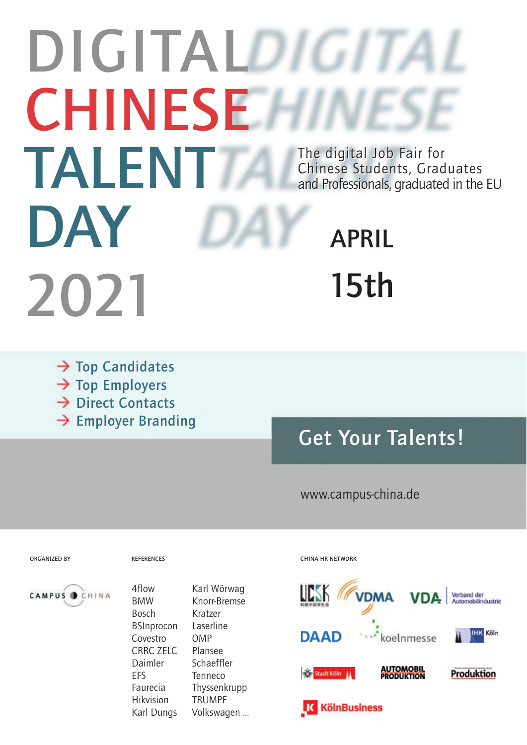# **DIGITALDIGIT CHINESE TALENT DAY 2021** The digital Job Fair for The digital Job Fair for Chinese Students, Graduates Chinese Students, Graduates and Professionals, graduated in the EU and Professionals, graduated in the EU **APRIL 15th**

- → Top Candidates → Top Employers **→ Direct Contacts**
- **Employer Branding**

## **Get Your Talents!**

#### www.campus-china.de



4flow BMW Bosch BSInprocon Covestro CRRC ZELC Daimler EFS Faurecia Hikvision Karl Dungs

Karl Wörwag Knorr-Bremse Kratzer **Laserline** OMP Plansee Schaeffler Tenneco Thyssenkrupp TRUMPF Volkswagen ...

#### **ORGANIZED BY REFERENCES CHINA HR NETWORK**

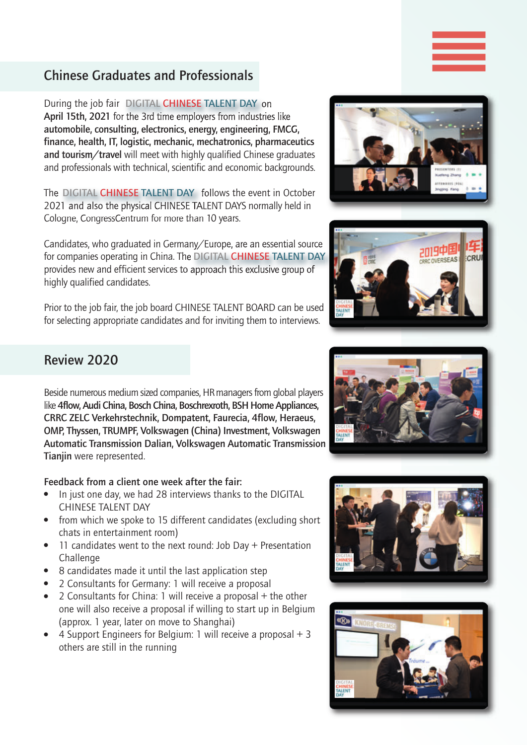#### **Chinese Graduates and Professionals**

**During the job fair DIGITAL CHINESE TALENT DAY on April 15th, 2021** for the 3rd time employers from industries like **automobile, consulting, electronics, energy, engineering, FMCG, finance, health, IT, logistic, mechanic, mechatronics, pharmaceutics and tourism/travel** will meet with highly qualified Chinese graduates and professionals with technical, scientific and economic backgrounds.

The DIGITAL CHINESE TALENT DAYS follows the event in October **DIGITAL CHINESE TALENT DAY** 2021 and also the physical CHINESE TALENT DAYS normally held in Cologne, CongressCentrum for more than 10 years.

Candidates, who graduated in Germany/Europe, are an essential source for companies operating in China. The **DIGITAL CHINESE TALENT DAY**provides new and efficient services to approach this exclusive group of highly qualified candidates.

Prior to the job fair, the job board CHINESE TALENT BOARD can be used for selecting appropriate candidates and for inviting them to interviews.



**||||**



#### **Review 2020**

Beside numerous medium sized companies, HR managers from global players like **4flow, Audi China, Bosch China, Boschrexroth, BSH Home Appliances, CRRC ZELC Verkehrstechnik, Dompatent, Faurecia, 4flow, Heraeus, OMP, Thyssen, TRUMPF, Volkswagen (China) Investment, Volkswagen Automatic Transmission Dalian, Volkswagen Automatic Transmission Tianjin** were represented.

#### **Feedback from a client one week after the fair:**

- In just one day, we had 28 interviews thanks to the DIGITAL CHINESE TALENT DAY
- $\bullet$  from which we spoke to 15 different candidates (excluding short chats in entertainment room)
- 11 candidates went to the next round: Job Day  $+$  Presentation Challenge
- $\bullet$  8 candidates made it until the last application step
- 2 Consultants for Germany: 1 will receive a proposal
- 2 Consultants for China: 1 will receive a proposal  $+$  the other one will also receive a proposal if willing to start up in Belgium (approx. 1 year, later on move to Shanghai)
- 4 Support Engineers for Belgium: 1 will receive a proposal  $+3$ others are still in the running





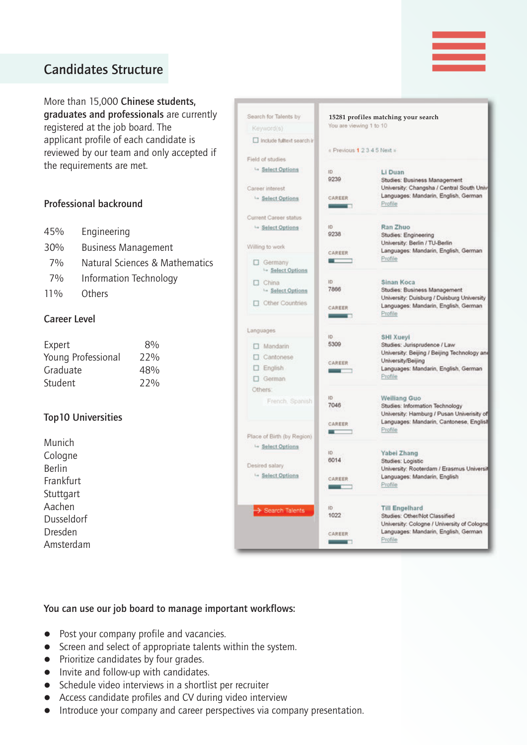## **Candidates Structure**

More than 15,000 **Chinese students, graduates and professionals** are currently registered at the job board. The applicant profile of each candidate is reviewed by our team and only accepted if the requirements are met.

#### **Professional backround**

| 45% | Engineering                |
|-----|----------------------------|
| 30% | <b>Business Management</b> |

- 7% Natural Sciences & Mathematics
- 7% Information Technology
- 11% Others

#### **Career Level**

| Expert             | 8%  |
|--------------------|-----|
| Young Professional | 22% |
| Graduate           | 48% |
| Student            | 22% |

#### **Top10 Universities**

Munich Cologne Berlin Frankfurt **Stuttgart** Aachen Dusseldorf Dresden Amsterdam

| Search for Talents by                        |                                    | 15281 profiles matching your search                                                 |  |
|----------------------------------------------|------------------------------------|-------------------------------------------------------------------------------------|--|
| Keyword(s)                                   | You are viewing 1 to 10            |                                                                                     |  |
| Include fulltext search in                   |                                    |                                                                                     |  |
|                                              | « Previous 1 2 3 4 5 Next »        |                                                                                     |  |
| Field of studies                             |                                    |                                                                                     |  |
| Select Options                               | ID.<br>9239                        | Li Duan<br>Studies: Business Management                                             |  |
| Career interest                              |                                    | University: Changsha / Central South Univ                                           |  |
| Select Options                               | CAREER<br>$-$                      | Languages: Mandarin, English, German<br>Profile                                     |  |
| <b>Current Career status</b>                 |                                    |                                                                                     |  |
| Select Options                               | ID                                 | Ran Zhuo                                                                            |  |
|                                              | 9238                               | Studies: Engineering                                                                |  |
| Willing to work                              |                                    | University: Berlin / TU-Berlin<br>Languages: Mandarin, English, German              |  |
| Germany<br>- Select Options                  | CAREER                             | Profile                                                                             |  |
| $\Box$ China                                 | ID                                 | Sinan Koca                                                                          |  |
| - Select Options                             | 7866                               | Studies: Business Management                                                        |  |
| <b>D</b> Other Countries                     |                                    | University: Duisburg / Duisburg University<br>Languages: Mandarin, English, German  |  |
|                                              | CAREER<br><b>Contract Contract</b> | Profile                                                                             |  |
| Languages                                    | ID.                                | <b>SHI Xueyi</b>                                                                    |  |
| $\Box$ Mandarin                              | 5309                               | Studies: Jurisprudence / Law                                                        |  |
| □ Cantonese                                  |                                    | University: Beijing / Beijing Technology and                                        |  |
| $\Box$ English                               | CAREER<br><b>Contract Contract</b> | University/Beijing<br>Languages: Mandarin, English, German                          |  |
| $\Box$ German                                |                                    | Profile                                                                             |  |
| Others:                                      |                                    |                                                                                     |  |
| French, Spanish                              | ID                                 | <b>Weiliang Guo</b>                                                                 |  |
|                                              | 7046                               | Studies: Information Technology<br>University: Hamburg / Pusan Univerisity of       |  |
|                                              | <b>CAREER</b>                      | Languages: Mandarin, Cantonese, English                                             |  |
|                                              | -                                  | Profile                                                                             |  |
| Place of Birth (by Region)<br>Select Options |                                    |                                                                                     |  |
|                                              | ID:                                | Yabei Zhang                                                                         |  |
| Desired salary                               | 6014                               | Studies: Logistic                                                                   |  |
| Select Options                               | CAREER                             | University: Rooterdam / Erasmus Universit<br>Languages: Mandarin, English           |  |
|                                              |                                    | Protile                                                                             |  |
| Search Talents                               | ID                                 | <b>Till Engelhard</b>                                                               |  |
|                                              | 1022                               | Studies: Other/Not Classified                                                       |  |
|                                              | CAREER                             | University: Cologne / University of Cologne<br>Languages: Mandarin, English, German |  |
|                                              | <b>Contract Contract</b>           | Profile                                                                             |  |

**||||**

#### **You can use our job board to manage important workflows:**

- Post your company profile and vacancies.
- Screen and select of appropriate talents within the system.
- Prioritize candidates by four grades.
- $\bullet$  Invite and follow-up with candidates.
- $\bullet$  Schedule video interviews in a shortlist per recruiter
- Access candidate profiles and CV during video interview
- Introduce your company and career perspectives via company presentation.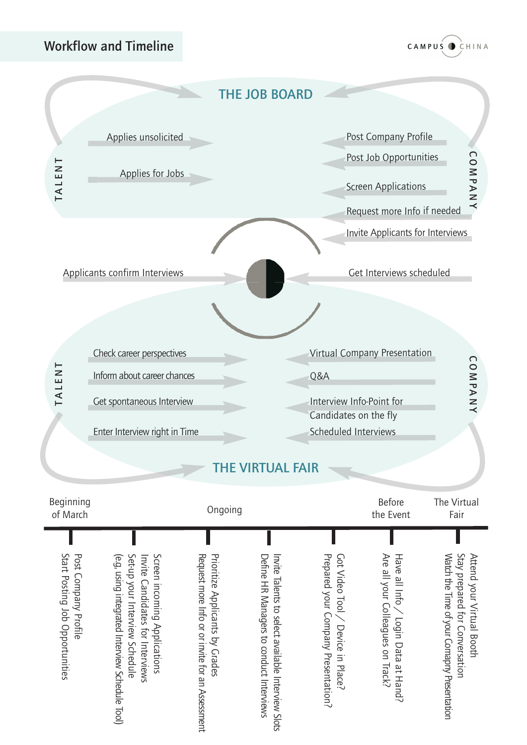#### **Workflow and Timeline**



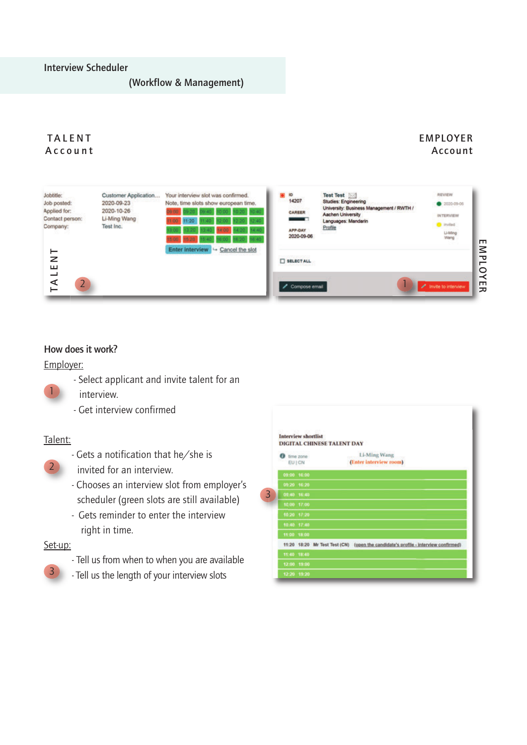#### **(Workflow & Management)**

#### **T A L E N T A c c o u n t**

#### **EMPLOYER Account**

| Jobtitle:<br>Job posted:<br>Applied for:<br>Contact person:<br>Company: | Customer Application<br>2020-09-23<br>2020-10-26<br>Li-Ming Wang<br>Test Inc. | Your interview slot was confirmed.<br>Note, time slots show european time.<br>15:00 15:20 1 | <b>ID</b><br>14207<br>CAREER<br>APP-DAY<br>2020-09-06 | Test Test<br><b>Studies: Engineering</b><br>University: Business Management / RWTH /<br><b>Aachen University</b><br>Languages: Mandarin<br>Profile | REVIEW<br>2020-09-06<br><b>INTERVIEW</b><br><b>D</b> invited<br>Li-Ming<br>Wang | г                                |
|-------------------------------------------------------------------------|-------------------------------------------------------------------------------|---------------------------------------------------------------------------------------------|-------------------------------------------------------|----------------------------------------------------------------------------------------------------------------------------------------------------|---------------------------------------------------------------------------------|----------------------------------|
| z<br>ш<br>⋖<br>$\overline{2}$                                           |                                                                               | Enter interview - Cancel the slot                                                           | SELECT ALL<br>Compose email                           |                                                                                                                                                    | / Invite to interview                                                           | ℥<br>᠊ᢏ<br>┍<br>C<br>≺<br>┯<br>ᆽ |

#### **How does it work?**

#### Employer:

- Select applicant and invite talent for an
- interview.
- Get interview confirmed

#### Talent:

1

- Gets a notification that he/she is



- invited for an interview.
- Chooses an interview slot from employer's scheduler (green slots are still available)
- Gets reminder to enter the interview right in time.

#### Set-up:

3

- Tell us from when to when you are available
- Tell us the length of your interview slots

|   | 52 - 100 - 100 - 250 -<br><b>Interview shortlist</b> | <b>DIGITAL CHINESE TALENT DAY</b> |                                                                                    |
|---|------------------------------------------------------|-----------------------------------|------------------------------------------------------------------------------------|
|   | time zone                                            |                                   | Li-Ming Wang                                                                       |
|   | EU   CN                                              |                                   | (Enter interview room)                                                             |
|   | 09:00 16:00                                          |                                   |                                                                                    |
|   | 09:20 16:20                                          |                                   |                                                                                    |
| 3 | 05:40 16:40                                          |                                   |                                                                                    |
|   | 10:00 17:00                                          |                                   |                                                                                    |
|   | 10:20 17:20                                          |                                   |                                                                                    |
|   | 10:40 17:40                                          |                                   |                                                                                    |
|   | 11:00 18:00                                          |                                   |                                                                                    |
|   |                                                      |                                   | 11:20 18:20 Mr Test Test (CN) (gpen the candidate's profile - interview confirmed) |
|   | 11:40 18:40                                          |                                   |                                                                                    |
|   | 12:00 19:00                                          |                                   |                                                                                    |
|   | 12:20 19:20                                          |                                   |                                                                                    |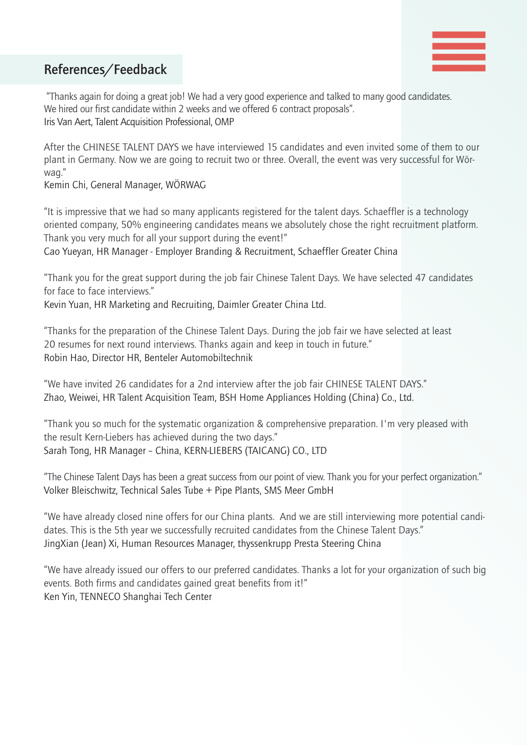

#### **References/Feedback**

"Thanks again for doing a great job! We had a very good experience and talked to many good candidates. **||||** We hired our first candidate within 2 weeks and we offered 6 contract proposals". Iris Van Aert, Talent Acquisition Professional, OMP

After the CHINESE TALENT DAYS we have interviewed 15 candidates and even invited some of them to our plant in Germany. Now we are going to recruit two or three. Overall, the event was very successful for Wörwag."

Kemin Chi, General Manager, WÖRWAG

"It is impressive that we had so many applicants registered for the talent days. Schaeffler is a technology oriented company, 50% engineering candidates means we absolutely chose the right recruitment platform. Thank you very much for all your support during the event!"

Cao Yueyan, HR Manager - Employer Branding & Recruitment, Schaeffler Greater China

"Thank you for the great support during the job fair Chinese Talent Days. We have selected 47 candidates for face to face interviews."

Kevin Yuan, HR Marketing and Recruiting, Daimler Greater China Ltd.

"Thanks for the preparation of the Chinese Talent Days. During the job fair we have selected at least 20 resumes for next round interviews. Thanks again and keep in touch in future." Robin Hao, Director HR, Benteler Automobiltechnik

"We have invited 26 candidates for a 2nd interview after the job fair CHINESE TALENT DAYS." Zhao, Weiwei, HR Talent Acquisition Team, BSH Home Appliances Holding (China) Co., Ltd.

"Thank you so much for the systematic organization & comprehensive preparation. I'm very pleased with the result Kern-Liebers has achieved during the two days." Sarah Tong, HR Manager – China, KERN-LIEBERS (TAICANG) CO., LTD

"The Chinese Talent Days has been a great success from our point of view. Thank you for your perfect organization." Volker Bleischwitz, Technical Sales Tube + Pipe Plants, SMS Meer GmbH

"We have already closed nine offers for our China plants. And we are still interviewing more potential candidates. This is the 5th year we successfully recruited candidates from the Chinese Talent Days." JingXian (Jean) Xi, Human Resources Manager, thyssenkrupp Presta Steering China

"We have already issued our offers to our preferred candidates. Thanks a lot for your organization of such big events. Both firms and candidates gained great benefits from it!" Ken Yin, TENNECO Shanghai Tech Center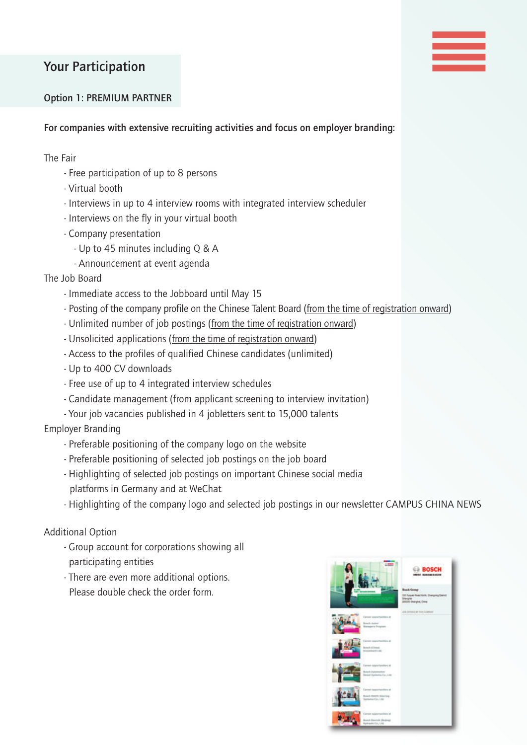## **Your Participation**

# **||||**

#### **Option 1: PREMIUM PARTNER**

**For companies with extensive recruiting activities and focus on employer branding:**

The Fair

- Free participation of up to 8 persons
- Virtual booth
- Interviews in up to 4 interview rooms with integrated interview scheduler
- Interviews on the fly in your virtual booth
- Company presentation
	- Up to 45 minutes including Q & A
	- Announcement at event agenda

The Job Board

- Immediate access to the Jobboard until May 15
- Posting of the company profile on the Chinese Talent Board (from the time of registration onward)
- Unlimited number of job postings (from the time of registration onward)
- Unsolicited applications (from the time of registration onward)
- Access to the profiles of qualified Chinese candidates (unlimited)
- Up to 400 CV downloads
- Free use of up to 4 integrated interview schedules
- Candidate management (from applicant screening to interview invitation)
- Your job vacancies published in 4 jobletters sent to 15,000 talents

Employer Branding

- Preferable positioning of the company logo on the website
- Preferable positioning of selected job postings on the job board
- Highlighting of selected job postings on important Chinese social media platforms in Germany and at WeChat
- Highlighting of the company logo and selected job postings in our newsletter CAMPUS CHINA NEWS

Additional Option

- Group account for corporations showing all participating entities
- There are even more additional options. Please double check the order form.

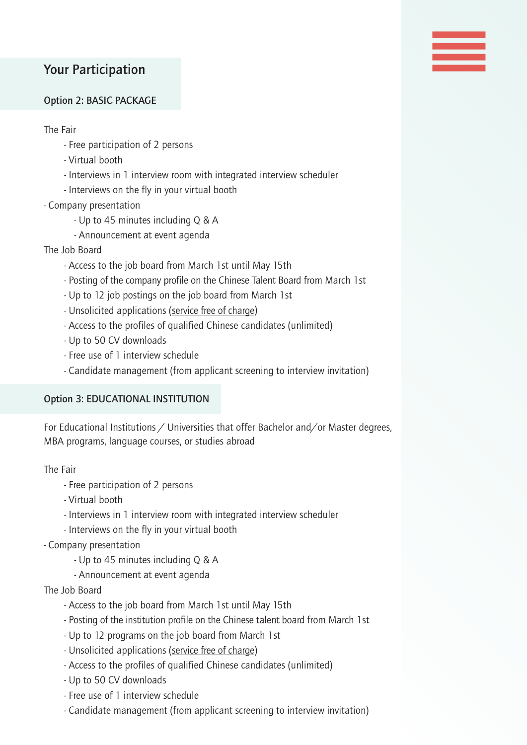#### **Your Participation**

#### **Option 2: BASIC PACKAGE**

The Fair

- Free participation of 2 persons
- Virtual booth
- Interviews in 1 interview room with integrated interview scheduler

**||||**

- Interviews on the fly in your virtual booth
- Company presentation
	- Up to 45 minutes including Q & A
	- Announcement at event agenda
- The Job Board
	- Access to the job board from March 1st until May 15th
	- Posting of the company profile on the Chinese Talent Board from March 1st
	- Up to 12 job postings on the job board from March 1st
	- Unsolicited applications (service free of charge)
	- Access to the profiles of qualified Chinese candidates (unlimited)
	- Up to 50 CV downloads
	- Free use of 1 interview schedule
	- Candidate management (from applicant screening to interview invitation)

#### **Option 3: EDUCATIONAL INSTITUTION**

For Educational Institutions / Universities that offer Bachelor and/or Master degrees, MBA programs, language courses, or studies abroad

The Fair

- Free participation of 2 persons
- Virtual booth
- Interviews in 1 interview room with integrated interview scheduler
- Interviews on the fly in your virtual booth
- Company presentation
	- Up to 45 minutes including Q & A
	- Announcement at event agenda
- The Job Board
	- Access to the job board from March 1st until May 15th
	- Posting of the institution profile on the Chinese talent board from March 1st
	- Up to 12 programs on the job board from March 1st
	- Unsolicited applications (service free of charge)
	- Access to the profiles of qualified Chinese candidates (unlimited)
	- Up to 50 CV downloads
	- Free use of 1 interview schedule
	- Candidate management (from applicant screening to interview invitation)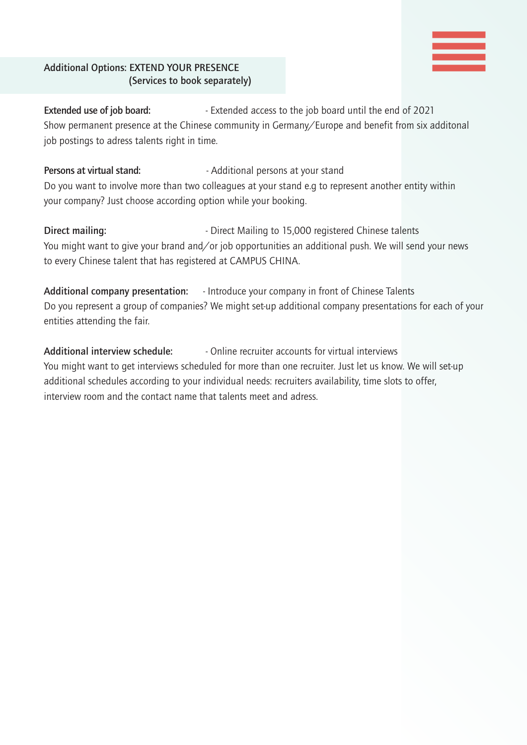#### **Additional Options: EXTEND YOUR PRESENCE (Services to book separately)**

**Extended use of job board:** - Extended access to the job board until the end of 2021 Show permanent presence at the Chinese community in Germany/Europe and benefit from six additonal job postings to adress talents right in time.

**||||**

Persons at virtual stand: **Fig. 2018** - Additional persons at your stand Do you want to involve more than two colleagues at your stand e.g to represent another entity within your company? Just choose according option while your booking.

**Direct mailing:**  $\qquad \qquad$  - Direct Mailing to 15,000 registered Chinese talents You might want to give your brand and/or job opportunities an additional push. We will send your news to every Chinese talent that has registered at CAMPUS CHINA.

**Additional company presentation:** - Introduce your company in front of Chinese Talents Do you represent a group of companies? We might set-up additional company presentations for each of your entities attending the fair.

**Additional interview schedule:** - Online recruiter accounts for virtual interviews You might want to get interviews scheduled for more than one recruiter. Just let us know. We will set-up additional schedules according to your individual needs: recruiters availability, time slots to offer, interview room and the contact name that talents meet and adress.